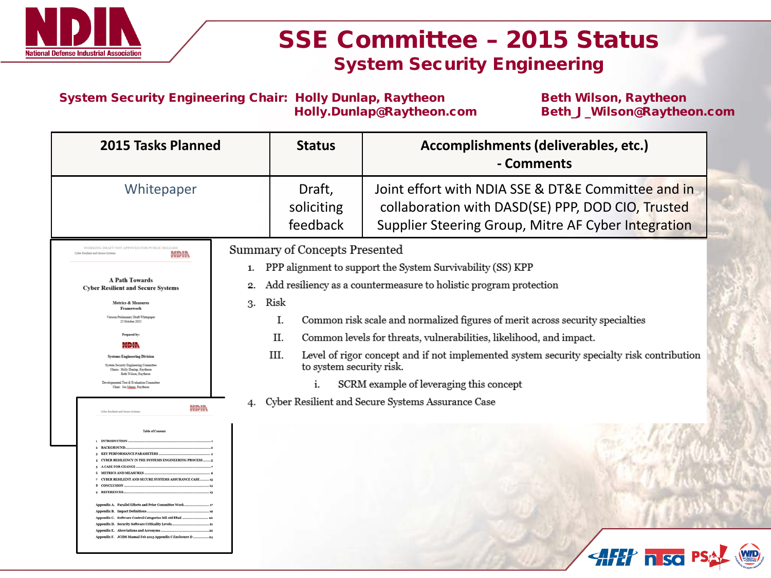

## SSE Committee – 2015 Status System Security Engineering

System Security Engineering Chair: Holly Dunlap, Raytheon Beth Wilson, Raytheon<br>Holly.Dunlap@Raytheon.com Beth\_J\_Wilson@Raythe

Beth\_J\_Wilson@Raytheon.com

| 2015 Tasks Planned                                                                                                                                                                                                                                                                                                                                                                                                                                                                                                                                                                                                                                                      |                | <b>Status</b>                                      | Accomplishments (deliverables, etc.)<br>- Comments                                                                                                                                                               |
|-------------------------------------------------------------------------------------------------------------------------------------------------------------------------------------------------------------------------------------------------------------------------------------------------------------------------------------------------------------------------------------------------------------------------------------------------------------------------------------------------------------------------------------------------------------------------------------------------------------------------------------------------------------------------|----------------|----------------------------------------------------|------------------------------------------------------------------------------------------------------------------------------------------------------------------------------------------------------------------|
| Whitepaper                                                                                                                                                                                                                                                                                                                                                                                                                                                                                                                                                                                                                                                              |                | Draft,<br>soliciting<br>feedback                   | Joint effort with NDIA SSE & DT&E Committee and in<br>collaboration with DASD(SE) PPP, DOD CIO, Trusted<br>Supplier Steering Group, Mitre AF Cyber Integration                                                   |
| WORKING DRAFT NOT APPOVED FOR PUBLIC RELEASE<br>Cyber Resilient and Secure Systems<br>NDIN<br><b>A Path Towards</b><br><b>Cyber Resilient and Secure Systems</b><br><b>Metrics &amp; Measures</b><br>Framework<br>Version Preliminary Draft Whitepape<br>25 October 2015                                                                                                                                                                                                                                                                                                                                                                                                | 1.<br>2.<br>3. | <b>Summary of Concepts Presented</b><br>Risk<br>Ī. | PPP alignment to support the System Survivability (SS) KPP<br>Add resiliency as a countermeasure to holistic program protection<br>Common risk scale and normalized figures of merit across security specialties |
| Prepared by:<br>NDIN<br><b>Systems Engineering Division</b><br>System Security Engineering Committee<br>Chairs: Holly Dunlap, Raytheon<br>Beth Wilson, Raytheon<br>Developmental Test & Evaluation Committee<br>Chair: Joe Manas, Raytheon                                                                                                                                                                                                                                                                                                                                                                                                                              |                | II.<br>III.<br>to system security risk.<br>i.      | Common levels for threats, vulnerabilities, likelihood, and impact.<br>Level of rigor concept and if not implemented system security specialty risk contribution<br>SCRM example of leveraging this concept      |
| NDIN<br>Cyber Resilient and Secure System<br>Table of Context<br><b>INTRODUCTION</b><br>2 BACKGROUND<br>3 KEY PERFORMANCE PARAMETERS<br><b>4 CYBER RESILIENCY IN THE SYSTEMS ENGINEERING PROCESS</b><br>5 A CASE FOR CHANGE<br><b>6 METRICS AND MEASURES</b><br>+ CYBER RESILIENT AND SECURE SYSTEMS ASSURANCE CASE<br>8 CONCLUSION<br><b>+ REFERENCES</b><br>Appendix A. Parallel Efforts and Prior Committee Wor<br>Appendix B. Impact Definitions.<br>Appendix C. Software Control Categories Mil std 88aE.<br>Appendix D. Security Software Criticality Levels<br>Appendix E. Abreviations and Acronsms.<br>Appendix F. JCIDS Mamal Feb 2015 Appendix CEnclosure D. | 4.             |                                                    | Cyber Resilient and Secure Systems Assurance Case                                                                                                                                                                |